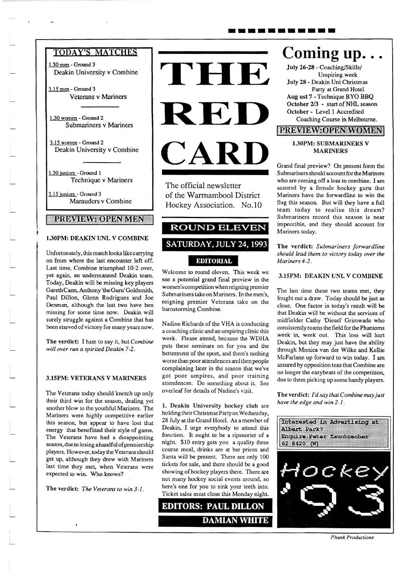## **TODAY'S MATCHES**

1.30 men - Ground 3 Deakin University v Combine

 $3.15$  men - Ground 3 Veterans v Mariners

1.30 women - Ground 2 Submariners v Mariners

3.15 wanen - Ground 2 Deakin University v Combine

1.30 juniors - Ground 1 Technique v Mariners

3.15 juniors - Ground 3 Marauders v Combine

iyuayiavaoiyayiyian

## 1.30PM: DEAKIN UNI. V COMBINE

Unfortunately, this match looks like carrying on from where the last encounter left off. Last time, Combine triumphed 10-2 over, yet again, an undermanned Deakin team. Today, Deakin will be missing key players Gareth Cann, Anthony'the Guru' Goldsmith, Paul Dillon, Glenn Rodrigues and Joe Denman, although the last two have ben missing for some time now. Deakin will surely struggle against a Combine thar has been starved of victory for many years now.

The verdict: I hate to say it, but Combine will over run a spirited Deakin 7-2.

#### 3.l5PM: VETERANS V MARINERS

The Veterans today should knotch up only their third win for the season, dealing yer another blow to the youthful Mariners. The Mariners were highly competitive earlier this season, but appear to have lost that energy that benefitted their style of game. The Veterans have had a disappointing season, due to losing a handful of premiership players. However, today the Veterans should get up, although they drew with Mariners last time they met, when Veterans were expected to win. Who knows?

The verdict: The Veterans to win 3-1.



The official newsletter of the Warmambool District Hockey Association. No.10

# **ROUND ELEVEN** SATURDAY, JULY 24, 1993

## EDITORIAL

Welcome to round eleven. This week we see a potential grand final preview in the women's competition when reigning premier Submariners take on Mariners. In the men's, reigning premier Veterans take on the bamstorming Combine.

Nadine Richards of the VHA is conducting acoaching clinic and an umpiringclinic this week. Please attend, because the WDHA puts these seminars on for you and the betterment of the sport, and there's nothing worse than poor altendences and thenpeople complaining later in the season that we've got poor umpires, and poor training attendences. Do something aboul it. See overleaf for details of Nadhe's visit.

l, Deakin University hockey club are holding their Christmas Party on Wednesday, 28 July at the Grand Hotel. As a member of Deakin, I urge everybody to attend this function. It ought to be a ripsnorter of a night. \$10 entry gets you a quality three course meal, drinks are at bar prices and Santa will be present. There are only 100 tickets for sale, and there should be a good showing of hockey players there. There are not many hockey social events around, so here's one for you to sink your teeth into. Ticket sales must close this Monday night.

EDITORS: PAUL DILLON

# Coming up. . .

July 26-28 - Coaching/Skills/ Umpiring weck July 28 - Deakin Uni Christmas Parry at Grand Hotel Aug ust 7 - Technique BYO BBQ October 2/3 - start of NHL season October - Level 1 Accredited Coaching Course in Melbourne.

## **EXAMIBANTO RESERVENTES!**

#### l30PM: SUBMARINERS v MARINERS

Grand final preview? On present form the Submariners should account for the Mariners who are coming off a loss to combine. I am assured by a female hockey guru thar Mariners have the forwardline to win the flag this season. But will ihey have a full team loday to realise this dream? Submariners record this season is near impeccible, and they should account for Mariners today.

The verdict: Submariners forwardline should lead them to victory today over the Mariners 4.2.

#### 3.15PM: DEAKIN UNI. V COMBINE

The last time these two teams met, they fought out a draw. Today should be just as close. One factor in roday's result will be that Deakin will be without the services of midfielder Carhy 'Diesel' Crimwade who consisten tly roams the field for the Phantoms week in, week out. This loss will hurt Deakin, but they may just have the ability rhrough Monica van der Wilke and Kellie McFarlane up forward to win today. I am assured by opposition teas that Combine are no longer the easybeats of the competition, due to them picking up some handy players.

The verdict: I'd say that Combine may just have the edge and win  $2-1$ .



Phunk Productions